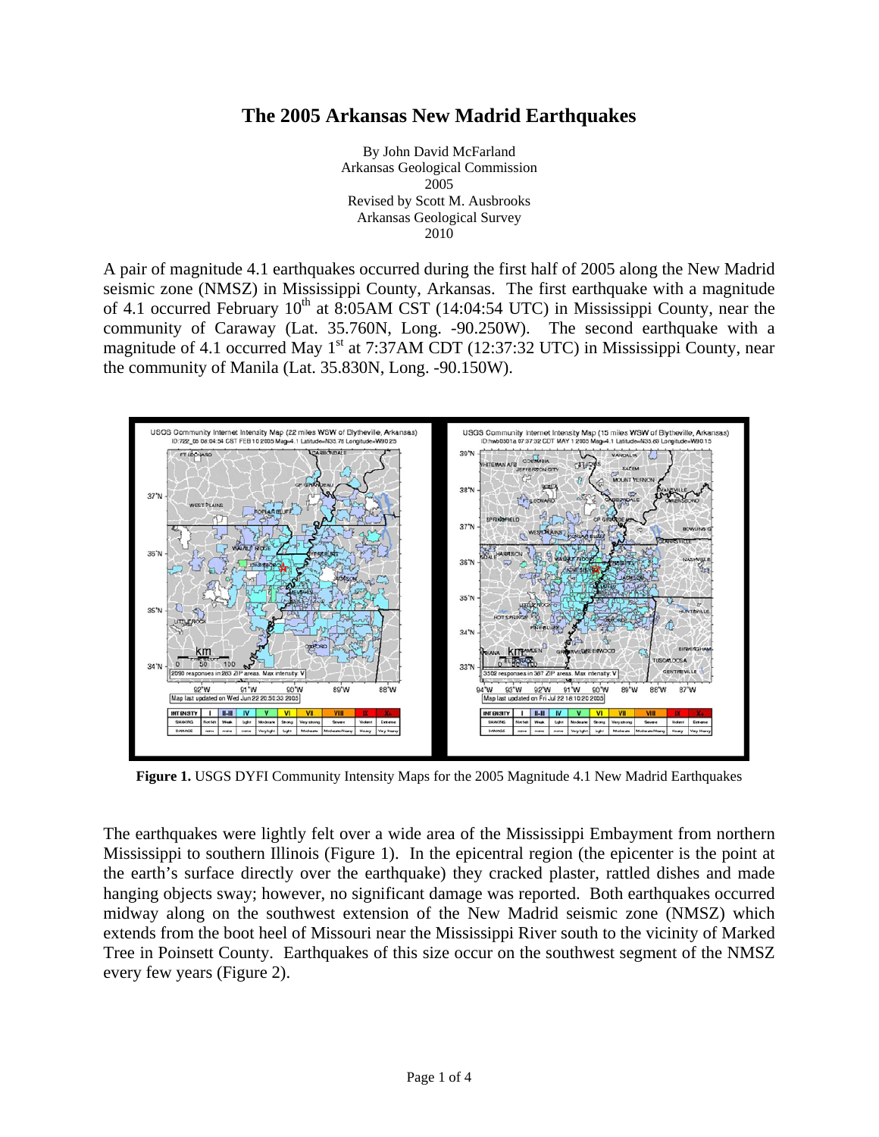## **The 2005 Arkansas New Madrid Earthquakes**

By John David McFarland Arkansas Geological Commission 2005 Revised by Scott M. Ausbrooks Arkansas Geological Survey 2010

A pair of magnitude 4.1 earthquakes occurred during the first half of 2005 along the New Madrid seismic zone (NMSZ) in Mississippi County, Arkansas. The first earthquake with a magnitude of 4.1 occurred February  $10^{th}$  at 8:05AM CST (14:04:54 UTC) in Mississippi County, near the community of Caraway (Lat. 35.760N, Long. -90.250W). The second earthquake with a magnitude of 4.1 occurred May  $1<sup>st</sup>$  at 7:37AM CDT (12:37:32 UTC) in Mississippi County, near the community of Manila (Lat. 35.830N, Long. -90.150W).



**Figure 1.** USGS DYFI Community Intensity Maps for the 2005 Magnitude 4.1 New Madrid Earthquakes

The earthquakes were lightly felt over a wide area of the Mississippi Embayment from northern Mississippi to southern Illinois (Figure 1). In the epicentral region (the epicenter is the point at the earth's surface directly over the earthquake) they cracked plaster, rattled dishes and made hanging objects sway; however, no significant damage was reported. Both earthquakes occurred midway along on the southwest extension of the New Madrid seismic zone (NMSZ) which extends from the boot heel of Missouri near the Mississippi River south to the vicinity of Marked Tree in Poinsett County. Earthquakes of this size occur on the southwest segment of the NMSZ every few years (Figure 2).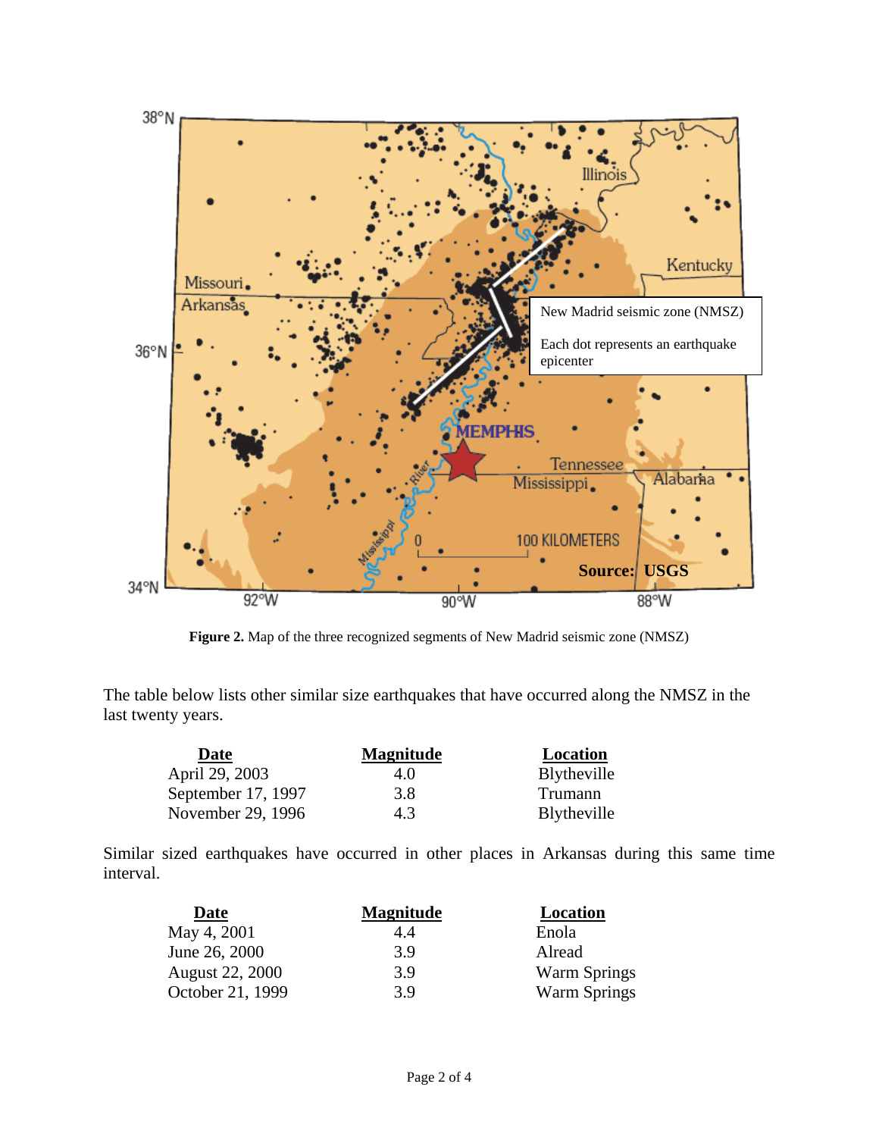

**Figure 2.** Map of the three recognized segments of New Madrid seismic zone (NMSZ)

The table below lists other similar size earthquakes that have occurred along the NMSZ in the last twenty years.

| Date               | <b>Magnitude</b> | Location            |
|--------------------|------------------|---------------------|
| April 29, 2003     | 4.0              | <b>B</b> lytheville |
| September 17, 1997 | 3.8              | Trumann             |
| November 29, 1996  | 4.3              | <b>B</b> lytheville |

Similar sized earthquakes have occurred in other places in Arkansas during this same time interval.

| Date             | <b>Magnitude</b> | Location            |
|------------------|------------------|---------------------|
| May 4, 2001      | 4.4              | Enola               |
| June 26, 2000    | 3.9              | Alread              |
| August 22, 2000  | 3.9              | <b>Warm Springs</b> |
| October 21, 1999 | 3.9              | <b>Warm Springs</b> |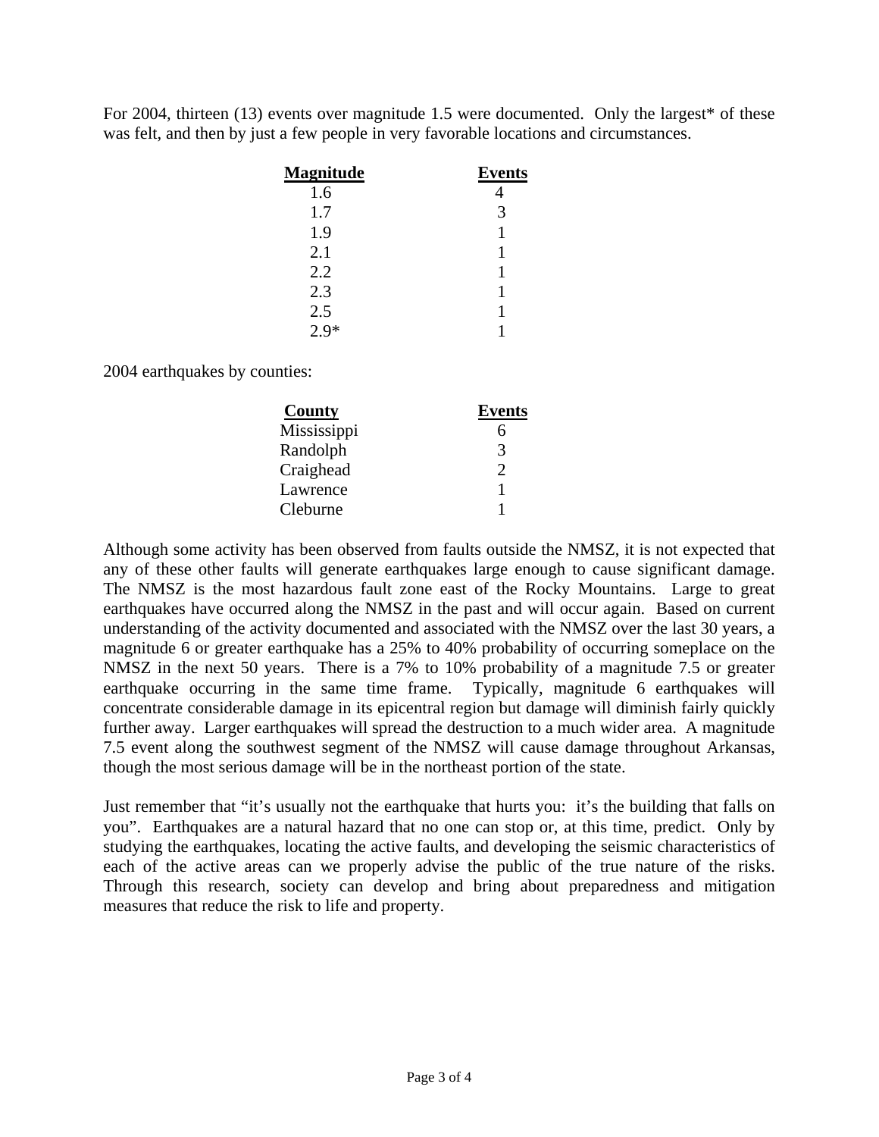For 2004, thirteen (13) events over magnitude 1.5 were documented. Only the largest\* of these was felt, and then by just a few people in very favorable locations and circumstances.

| <b>Magnitude</b> | <b>Events</b> |
|------------------|---------------|
| 1.6              |               |
| 1.7              | 3             |
| 1.9              |               |
| 2.1              |               |
| 2.2              |               |
| 2.3              |               |
| 2.5              |               |
| $2.9*$           |               |

2004 earthquakes by counties:

| County      | <b>Events</b> |
|-------------|---------------|
| Mississippi |               |
| Randolph    | 3             |
| Craighead   | ႒             |
| Lawrence    |               |
| Cleburne    |               |

Although some activity has been observed from faults outside the NMSZ, it is not expected that any of these other faults will generate earthquakes large enough to cause significant damage. The NMSZ is the most hazardous fault zone east of the Rocky Mountains. Large to great earthquakes have occurred along the NMSZ in the past and will occur again. Based on current understanding of the activity documented and associated with the NMSZ over the last 30 years, a magnitude 6 or greater earthquake has a 25% to 40% probability of occurring someplace on the NMSZ in the next 50 years. There is a 7% to 10% probability of a magnitude 7.5 or greater earthquake occurring in the same time frame. Typically, magnitude 6 earthquakes will concentrate considerable damage in its epicentral region but damage will diminish fairly quickly further away. Larger earthquakes will spread the destruction to a much wider area. A magnitude 7.5 event along the southwest segment of the NMSZ will cause damage throughout Arkansas, though the most serious damage will be in the northeast portion of the state.

Just remember that "it's usually not the earthquake that hurts you: it's the building that falls on you". Earthquakes are a natural hazard that no one can stop or, at this time, predict. Only by studying the earthquakes, locating the active faults, and developing the seismic characteristics of each of the active areas can we properly advise the public of the true nature of the risks. Through this research, society can develop and bring about preparedness and mitigation measures that reduce the risk to life and property.